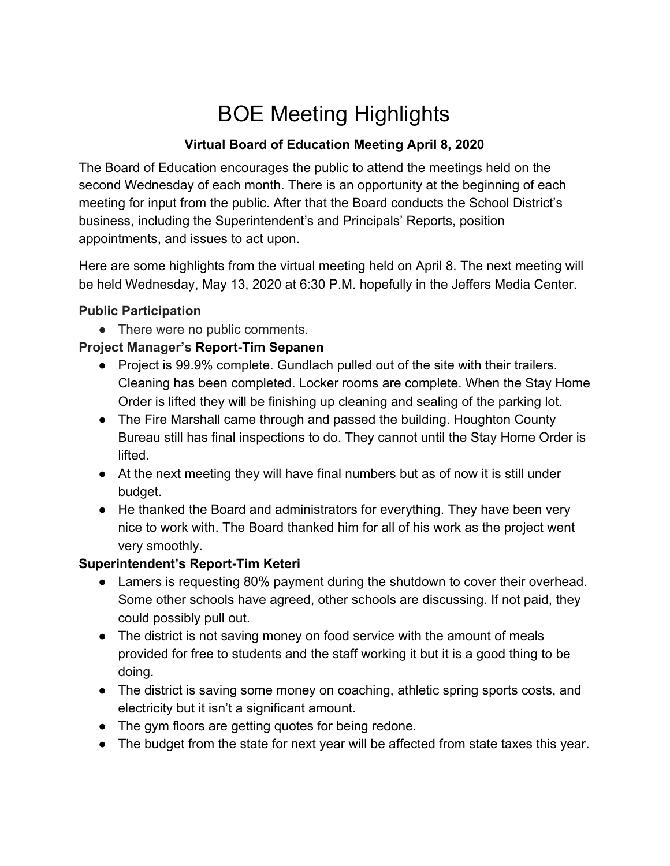# BOE Meeting Highlights

## **Virtual Board of Education Meeting April 8, 2020**

The Board of Education encourages the public to attend the meetings held on the second Wednesday of each month. There is an opportunity at the beginning of each meeting for input from the public. After that the Board conducts the School District's business, including the Superintendent's and Principals' Reports, position appointments, and issues to act upon.

Here are some highlights from the virtual meeting held on April 8. The next meeting will be held Wednesday, May 13, 2020 at 6:30 P.M. hopefully in the Jeffers Media Center.

### **Public Participation**

• There were no public comments.

## **Project Manager's Report-Tim Sepanen**

- Project is 99.9% complete. Gundlach pulled out of the site with their trailers. Cleaning has been completed. Locker rooms are complete. When the Stay Home Order is lifted they will be finishing up cleaning and sealing of the parking lot.
- The Fire Marshall came through and passed the building. Houghton County Bureau still has final inspections to do. They cannot until the Stay Home Order is lifted.
- At the next meeting they will have final numbers but as of now it is still under budget.
- He thanked the Board and administrators for everything. They have been very nice to work with. The Board thanked him for all of his work as the project went very smoothly.

### **Superintendent's Report-Tim Keteri**

- Lamers is requesting 80% payment during the shutdown to cover their overhead. Some other schools have agreed, other schools are discussing. If not paid, they could possibly pull out.
- The district is not saving money on food service with the amount of meals provided for free to students and the staff working it but it is a good thing to be doing.
- The district is saving some money on coaching, athletic spring sports costs, and electricity but it isn't a significant amount.
- The gym floors are getting quotes for being redone.
- The budget from the state for next year will be affected from state taxes this year.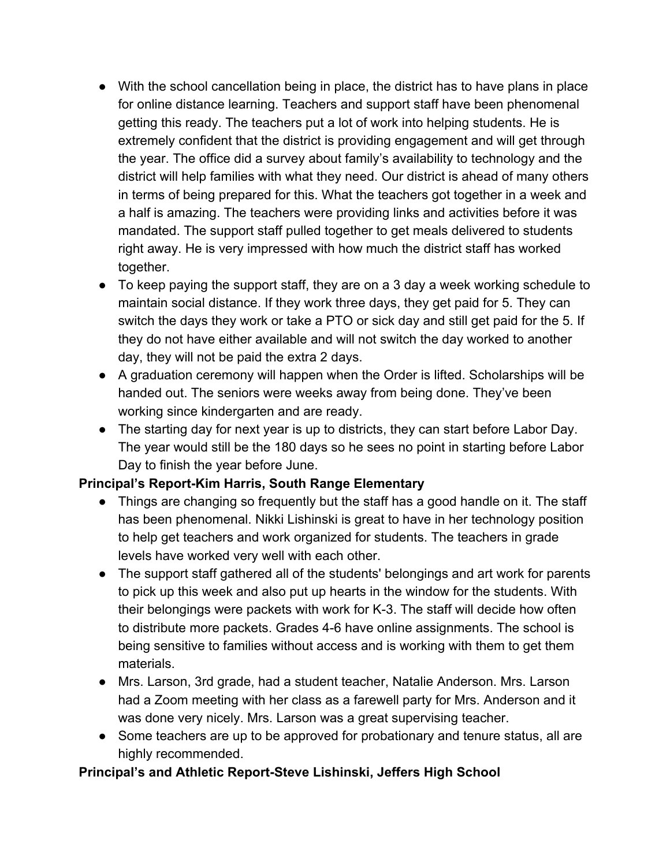- With the school cancellation being in place, the district has to have plans in place for online distance learning. Teachers and support staff have been phenomenal getting this ready. The teachers put a lot of work into helping students. He is extremely confident that the district is providing engagement and will get through the year. The office did a survey about family's availability to technology and the district will help families with what they need. Our district is ahead of many others in terms of being prepared for this. What the teachers got together in a week and a half is amazing. The teachers were providing links and activities before it was mandated. The support staff pulled together to get meals delivered to students right away. He is very impressed with how much the district staff has worked together.
- To keep paying the support staff, they are on a 3 day a week working schedule to maintain social distance. If they work three days, they get paid for 5. They can switch the days they work or take a PTO or sick day and still get paid for the 5. If they do not have either available and will not switch the day worked to another day, they will not be paid the extra 2 days.
- A graduation ceremony will happen when the Order is lifted. Scholarships will be handed out. The seniors were weeks away from being done. They've been working since kindergarten and are ready.
- The starting day for next year is up to districts, they can start before Labor Day. The year would still be the 180 days so he sees no point in starting before Labor Day to finish the year before June.

### **Principal's Report-Kim Harris, South Range Elementary**

- Things are changing so frequently but the staff has a good handle on it. The staff has been phenomenal. Nikki Lishinski is great to have in her technology position to help get teachers and work organized for students. The teachers in grade levels have worked very well with each other.
- The support staff gathered all of the students' belongings and art work for parents to pick up this week and also put up hearts in the window for the students. With their belongings were packets with work for K-3. The staff will decide how often to distribute more packets. Grades 4-6 have online assignments. The school is being sensitive to families without access and is working with them to get them materials.
- Mrs. Larson, 3rd grade, had a student teacher, Natalie Anderson. Mrs. Larson had a Zoom meeting with her class as a farewell party for Mrs. Anderson and it was done very nicely. Mrs. Larson was a great supervising teacher.
- Some teachers are up to be approved for probationary and tenure status, all are highly recommended.

### **Principal's and Athletic Report-Steve Lishinski, Jeffers High School**